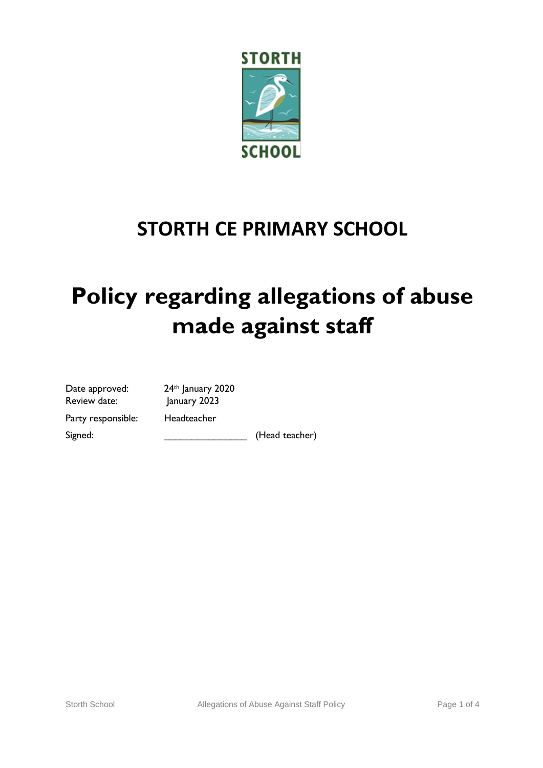

# **STORTH CE PRIMARY SCHOOL**

# **Policy regarding allegations of abuse made against staff**

| Date approved:     | $74$ th |
|--------------------|---------|
| Review date:       | Janı    |
| Party responsible: | Hea     |
| Signed:            |         |

January 2020 uary 2023 dteacher

(Head teacher)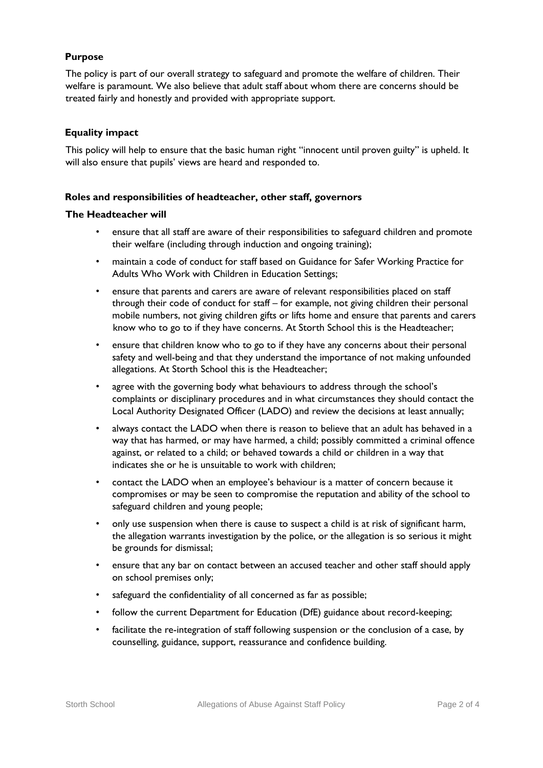### **Purpose**

The policy is part of our overall strategy to safeguard and promote the welfare of children. Their welfare is paramount. We also believe that adult staff about whom there are concerns should be treated fairly and honestly and provided with appropriate support.

#### **Equality impact**

This policy will help to ensure that the basic human right "innocent until proven guilty" is upheld. It will also ensure that pupils' views are heard and responded to.

#### **Roles and responsibilities of headteacher, other staff, governors**

#### **The Headteacher will**

- ensure that all staff are aware of their responsibilities to safeguard children and promote their welfare (including through induction and ongoing training);
- maintain a code of conduct for staff based on Guidance for Safer Working Practice for Adults Who Work with Children in Education Settings;
- ensure that parents and carers are aware of relevant responsibilities placed on staff through their code of conduct for staff – for example, not giving children their personal mobile numbers, not giving children gifts or lifts home and ensure that parents and carers know who to go to if they have concerns. At Storth School this is the Headteacher;
- ensure that children know who to go to if they have any concerns about their personal safety and well-being and that they understand the importance of not making unfounded allegations. At Storth School this is the Headteacher;
- agree with the governing body what behaviours to address through the school's complaints or disciplinary procedures and in what circumstances they should contact the Local Authority Designated Officer (LADO) and review the decisions at least annually;
- always contact the LADO when there is reason to believe that an adult has behaved in a way that has harmed, or may have harmed, a child; possibly committed a criminal offence against, or related to a child; or behaved towards a child or children in a way that indicates she or he is unsuitable to work with children;
- contact the LADO when an employee's behaviour is a matter of concern because it compromises or may be seen to compromise the reputation and ability of the school to safeguard children and young people;
- only use suspension when there is cause to suspect a child is at risk of significant harm, the allegation warrants investigation by the police, or the allegation is so serious it might be grounds for dismissal;
- ensure that any bar on contact between an accused teacher and other staff should apply on school premises only;
- safeguard the confidentiality of all concerned as far as possible;
- follow the current Department for Education (DfE) guidance about record-keeping;
- facilitate the re-integration of staff following suspension or the conclusion of a case, by counselling, guidance, support, reassurance and confidence building.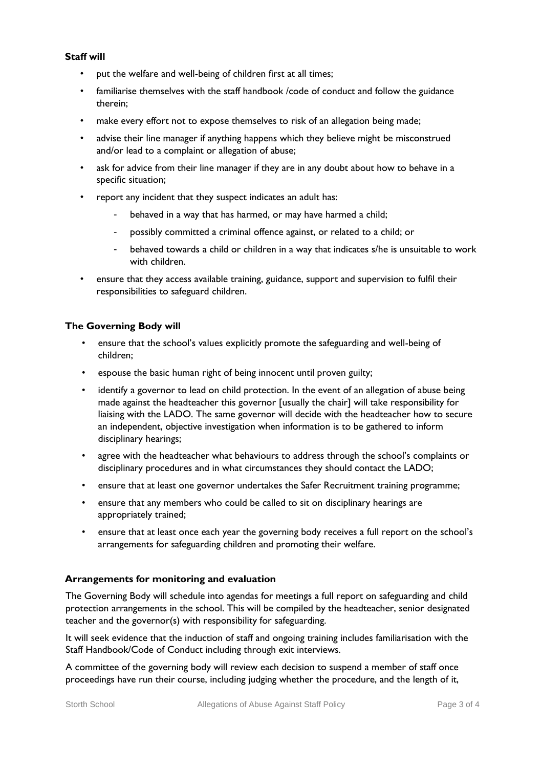#### **Staff will**

- put the welfare and well-being of children first at all times;
- familiarise themselves with the staff handbook /code of conduct and follow the guidance therein;
- make every effort not to expose themselves to risk of an allegation being made;
- advise their line manager if anything happens which they believe might be misconstrued and/or lead to a complaint or allegation of abuse;
- ask for advice from their line manager if they are in any doubt about how to behave in a specific situation;
- report any incident that they suspect indicates an adult has:
	- behaved in a way that has harmed, or may have harmed a child;
	- possibly committed a criminal offence against, or related to a child; or
	- behaved towards a child or children in a way that indicates s/he is unsuitable to work with children.
- ensure that they access available training, guidance, support and supervision to fulfil their responsibilities to safeguard children.

#### **The Governing Body will**

- ensure that the school's values explicitly promote the safeguarding and well-being of children;
- espouse the basic human right of being innocent until proven guilty;
- identify a governor to lead on child protection. In the event of an allegation of abuse being made against the headteacher this governor [usually the chair] will take responsibility for liaising with the LADO. The same governor will decide with the headteacher how to secure an independent, objective investigation when information is to be gathered to inform disciplinary hearings;
- agree with the headteacher what behaviours to address through the school's complaints or disciplinary procedures and in what circumstances they should contact the LADO;
- ensure that at least one governor undertakes the Safer Recruitment training programme;
- ensure that any members who could be called to sit on disciplinary hearings are appropriately trained;
- ensure that at least once each year the governing body receives a full report on the school's arrangements for safeguarding children and promoting their welfare.

## **Arrangements for monitoring and evaluation**

The Governing Body will schedule into agendas for meetings a full report on safeguarding and child protection arrangements in the school. This will be compiled by the headteacher, senior designated teacher and the governor(s) with responsibility for safeguarding.

It will seek evidence that the induction of staff and ongoing training includes familiarisation with the Staff Handbook/Code of Conduct including through exit interviews.

A committee of the governing body will review each decision to suspend a member of staff once proceedings have run their course, including judging whether the procedure, and the length of it,